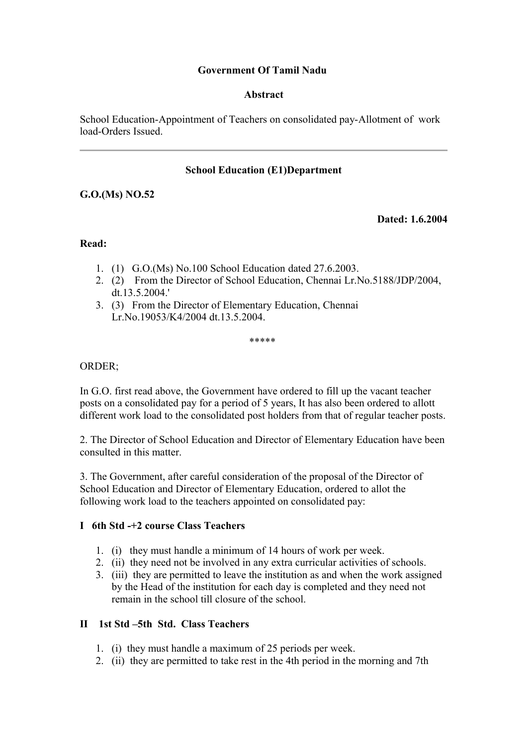## **Government Of Tamil Nadu**

#### **Abstract**

School Education-Appointment of Teachers on consolidated pay-Allotment of work load-Orders Issued.

## **School Education (E1)Department**

# **G.O.(Ms) NO.52**

**Dated: 1.6.2004**

#### **Read:**

- 1. (1) G.O.(Ms) No.100 School Education dated 27.6.2003.
- 2. (2) From the Director of School Education, Chennai Lr.No.5188/JDP/2004, dt.13.5.2004.'
- 3. (3) From the Director of Elementary Education, Chennai Lr.No.19053/K4/2004 dt.13.5.2004.

.<br>ماه ماه ماه ماه ماه

## ORDER;

In G.O. first read above, the Government have ordered to fill up the vacant teacher posts on a consolidated pay for a period of 5 years, It has also been ordered to allott different work load to the consolidated post holders from that of regular teacher posts.

2. The Director of School Education and Director of Elementary Education have been consulted in this matter.

3. The Government, after careful consideration of the proposal of the Director of School Education and Director of Elementary Education, ordered to allot the following work load to the teachers appointed on consolidated pay:

## **I 6th Std -+2 course Class Teachers**

- 1. (i) they must handle a minimum of 14 hours of work per week.
- 2. (ii) they need not be involved in any extra curricular activities of schools.
- 3. (iii) they are permitted to leave the institution as and when the work assigned by the Head of the institution for each day is completed and they need not remain in the school till closure of the school.

## **II 1st Std –5th Std. Class Teachers**

- 1. (i) they must handle a maximum of 25 periods per week.
- 2. (ii) they are permitted to take rest in the 4th period in the morning and 7th